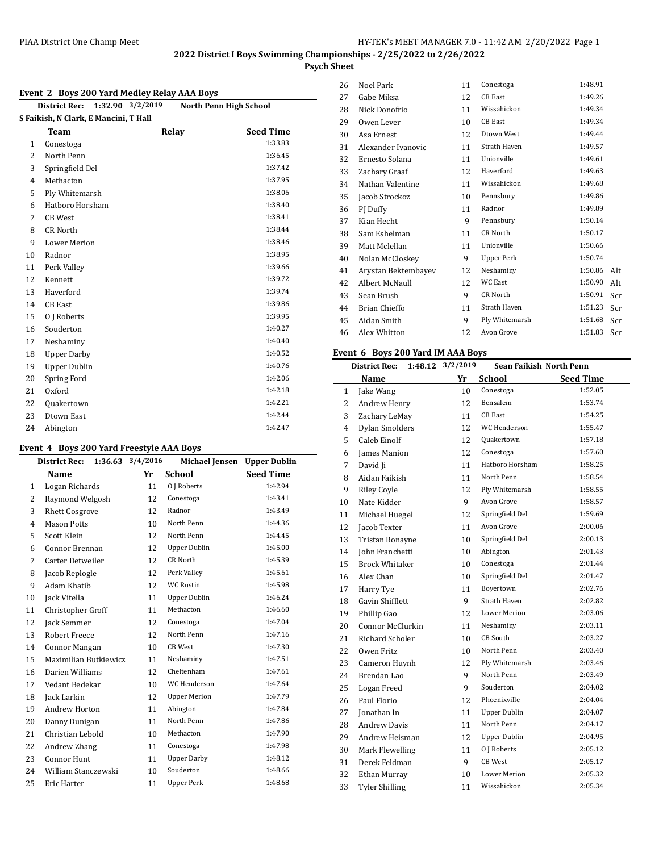## **Psych Sheet**

#### **Event 2 Boys 200 Yard Medley Relay AAA Boys**

|              | 1:32.90 3/2/2019<br><b>District Rec:</b> |       | North Penn High School |  |  |  |  |  |  |
|--------------|------------------------------------------|-------|------------------------|--|--|--|--|--|--|
|              | S Faikish, N Clark, E Mancini, T Hall    |       |                        |  |  |  |  |  |  |
|              | <b>Team</b>                              | Relay | <b>Seed Time</b>       |  |  |  |  |  |  |
| $\mathbf{1}$ | Conestoga                                |       | 1:33.83                |  |  |  |  |  |  |
| 2            | North Penn                               |       | 1:36.45                |  |  |  |  |  |  |
| 3            | Springfield Del                          |       | 1:37.42                |  |  |  |  |  |  |
| 4            | Methacton                                |       | 1:37.95                |  |  |  |  |  |  |
| 5            | Ply Whitemarsh                           |       | 1:38.06                |  |  |  |  |  |  |
| 6            | Hatboro Horsham                          |       | 1:38.40                |  |  |  |  |  |  |
| 7            | <b>CB</b> West                           |       | 1:38.41                |  |  |  |  |  |  |
| 8            | <b>CR North</b>                          |       | 1:38.44                |  |  |  |  |  |  |
| 9            | <b>Lower Merion</b>                      |       | 1:38.46                |  |  |  |  |  |  |
| 10           | Radnor                                   |       | 1:38.95                |  |  |  |  |  |  |
| 11           | Perk Valley                              |       | 1:39.66                |  |  |  |  |  |  |
| 12           | Kennett                                  |       | 1:39.72                |  |  |  |  |  |  |
| 13           | Haverford                                |       | 1:39.74                |  |  |  |  |  |  |
| 14           | <b>CB</b> East                           |       | 1:39.86                |  |  |  |  |  |  |
| 15           | 0   Roberts                              |       | 1:39.95                |  |  |  |  |  |  |
| 16           | Souderton                                |       | 1:40.27                |  |  |  |  |  |  |
| 17           | Neshaminy                                |       | 1:40.40                |  |  |  |  |  |  |
| 18           | <b>Upper Darby</b>                       |       | 1:40.52                |  |  |  |  |  |  |
| 19           | <b>Upper Dublin</b>                      |       | 1:40.76                |  |  |  |  |  |  |
| 20           | Spring Ford                              |       | 1:42.06                |  |  |  |  |  |  |
| 21           | Oxford                                   |       | 1:42.18                |  |  |  |  |  |  |
| 22           | Quakertown                               |       | 1:42.21                |  |  |  |  |  |  |
| 23           | Dtown East                               |       | 1:42.44                |  |  |  |  |  |  |
| 24           | Abington                                 |       | 1:42.47                |  |  |  |  |  |  |

#### **Event 4 Boys 200 Yard Freestyle AAA Boys**

|                | <b>District Rec:</b>  | 1:36.63 3/4/2016 | <b>Michael Jensen</b> | <b>Upper Dublin</b> |
|----------------|-----------------------|------------------|-----------------------|---------------------|
|                | <b>Name</b>           | Yr               | <b>School</b>         | <b>Seed Time</b>    |
| 1              | Logan Richards        | 11               | 0 J Roberts           | 1:42.94             |
| $\overline{2}$ | Raymond Welgosh       | 12               | Conestoga             | 1:43.41             |
| 3              | <b>Rhett Cosgrove</b> | 12               | Radnor                | 1:43.49             |
| $\overline{4}$ | <b>Mason Potts</b>    | 10               | North Penn            | 1:44.36             |
| 5              | Scott Klein           | 12               | North Penn            | 1:44.45             |
| 6              | Connor Brennan        | 12               | <b>Upper Dublin</b>   | 1:45.00             |
| 7              | Carter Detweiler      | 12               | CR North              | 1:45.39             |
| 8              | Jacob Replogle        | 12               | Perk Valley           | 1:45.61             |
| 9              | Adam Khatib           | 12               | <b>WC Rustin</b>      | 1:45.98             |
| 10             | Jack Vitella          | 11               | <b>Upper Dublin</b>   | 1:46.24             |
| 11             | Christopher Groff     | 11               | Methacton             | 1:46.60             |
| 12             | Jack Semmer           | 12               | Conestoga             | 1:47.04             |
| 13             | <b>Robert Freece</b>  | 12               | North Penn            | 1:47.16             |
| 14             | Connor Mangan         | 10               | <b>CB</b> West        | 1:47.30             |
| 15             | Maximilian Butkiewicz | 11               | Neshaminy             | 1:47.51             |
| 16             | Darien Williams       | 12               | Cheltenham            | 1:47.61             |
| 17             | Vedant Bedekar        | 10               | WC Henderson          | 1:47.64             |
| 18             | Jack Larkin           | 12               | <b>Upper Merion</b>   | 1:47.79             |
| 19             | <b>Andrew Horton</b>  | 11               | Abington              | 1:47.84             |
| 20             | Danny Dunigan         | 11               | North Penn            | 1:47.86             |
| 21             | Christian Lebold      | 10 <sup>1</sup>  | Methacton             | 1:47.90             |
| 22             | Andrew Zhang          | 11               | Conestoga             | 1:47.98             |
| 23             | <b>Connor Hunt</b>    | 11               | <b>Upper Darby</b>    | 1:48.12             |
| 24             | William Stanczewski   | 10 <sup>1</sup>  | Souderton             | 1:48.66             |
| 25             | Eric Harter           | 11               | <b>Upper Perk</b>     | 1:48.68             |

| 26 | <b>Noel Park</b>    | 11 | Conestoga         | 1:48.91 |     |
|----|---------------------|----|-------------------|---------|-----|
| 27 | Gabe Miksa          | 12 | <b>CB</b> East    | 1:49.26 |     |
| 28 | Nick Donofrio       | 11 | Wissahickon       | 1:49.34 |     |
| 29 | Owen Lever          | 10 | <b>CB</b> East    | 1:49.34 |     |
| 30 | Asa Ernest          | 12 | Dtown West        | 1:49.44 |     |
| 31 | Alexander Ivanovic  | 11 | Strath Haven      | 1:49.57 |     |
| 32 | Ernesto Solana      | 11 | Unionville        | 1:49.61 |     |
| 33 | Zachary Graaf       | 12 | Haverford         | 1:49.63 |     |
| 34 | Nathan Valentine    | 11 | Wissahickon       | 1:49.68 |     |
| 35 | Jacob Strockoz      | 10 | Pennsbury         | 1:49.86 |     |
| 36 | PJ Duffy            | 11 | Radnor            | 1:49.89 |     |
| 37 | Kian Hecht          | 9  | Pennsbury         | 1:50.14 |     |
| 38 | Sam Eshelman        | 11 | <b>CR North</b>   | 1:50.17 |     |
| 39 | Matt Mclellan       | 11 | Unionville        | 1:50.66 |     |
| 40 | Nolan McCloskey     | 9  | <b>Upper Perk</b> | 1:50.74 |     |
| 41 | Arystan Bektembayev | 12 | Neshaminy         | 1:50.86 | Alt |
| 42 | Albert McNaull      | 12 | <b>WC East</b>    | 1:50.90 | Alt |
| 43 | Sean Brush          | 9  | CR North          | 1:50.91 | Scr |
| 44 | Brian Chieffo       | 11 | Strath Haven      | 1:51.23 | Scr |
| 45 | Aidan Smith         | 9  | Ply Whitemarsh    | 1:51.68 | Scr |
| 46 | Alex Whitton        | 12 | Avon Grove        | 1:51.83 | Scr |
|    |                     |    |                   |         |     |

## **Event 6 Boys 200 Yard IM AAA Boys**

|                | 1:48.12 3/2/2019<br><b>Sean Faikish North Penn</b><br><b>District Rec:</b> |  |    |                     |                  |
|----------------|----------------------------------------------------------------------------|--|----|---------------------|------------------|
|                | Name                                                                       |  | Yr | <b>School</b>       | <b>Seed Time</b> |
| 1              | Jake Wang                                                                  |  | 10 | Conestoga           | 1:52.05          |
| $\overline{2}$ | Andrew Henry                                                               |  | 12 | Bensalem            | 1:53.74          |
| 3              | Zachary LeMay                                                              |  | 11 | <b>CB</b> East      | 1:54.25          |
| 4              | Dylan Smolders                                                             |  | 12 | WC Henderson        | 1:55.47          |
| 5              | Caleb Einolf                                                               |  | 12 | <b>Quakertown</b>   | 1:57.18          |
| 6              | James Manion                                                               |  | 12 | Conestoga           | 1:57.60          |
| 7              | David Ji                                                                   |  | 11 | Hatboro Horsham     | 1:58.25          |
| 8              | Aidan Faikish                                                              |  | 11 | North Penn          | 1:58.54          |
| 9              | <b>Riley Coyle</b>                                                         |  | 12 | Ply Whitemarsh      | 1:58.55          |
| 10             | Nate Kidder                                                                |  | 9  | Avon Grove          | 1:58.57          |
| 11             | Michael Huegel                                                             |  | 12 | Springfield Del     | 1:59.69          |
| 12             | Jacob Texter                                                               |  | 11 | Avon Grove          | 2:00.06          |
| 13             | Tristan Ronayne                                                            |  | 10 | Springfield Del     | 2:00.13          |
| 14             | John Franchetti                                                            |  | 10 | Abington            | 2:01.43          |
| 15             | <b>Brock Whitaker</b>                                                      |  | 10 | Conestoga           | 2:01.44          |
| 16             | Alex Chan                                                                  |  | 10 | Springfield Del     | 2:01.47          |
| 17             | Harry Tye                                                                  |  | 11 | Boyertown           | 2:02.76          |
| 18             | Gavin Shifflett                                                            |  | 9  | Strath Haven        | 2:02.82          |
| 19             | Phillip Gao                                                                |  | 12 | <b>Lower Merion</b> | 2:03.06          |
| 20             | Connor McClurkin                                                           |  | 11 | Neshaminy           | 2:03.11          |
| 21             | <b>Richard Scholer</b>                                                     |  | 10 | CB South            | 2:03.27          |
| 22             | Owen Fritz                                                                 |  | 10 | North Penn          | 2:03.40          |
| 23             | Cameron Huynh                                                              |  | 12 | Ply Whitemarsh      | 2:03.46          |
| 24             | Brendan Lao                                                                |  | 9  | North Penn          | 2:03.49          |
| 25             | Logan Freed                                                                |  | 9  | Souderton           | 2:04.02          |
| 26             | Paul Florio                                                                |  | 12 | Phoenixville        | 2:04.04          |
| 27             | Ionathan In                                                                |  | 11 | <b>Upper Dublin</b> | 2:04.07          |
| 28             | <b>Andrew Davis</b>                                                        |  | 11 | North Penn          | 2:04.17          |
| 29             | Andrew Heisman                                                             |  | 12 | <b>Upper Dublin</b> | 2:04.95          |
| 30             | Mark Flewelling                                                            |  | 11 | 0 J Roberts         | 2:05.12          |
| 31             | Derek Feldman                                                              |  | 9  | <b>CB</b> West      | 2:05.17          |
| 32             | Ethan Murray                                                               |  | 10 | <b>Lower Merion</b> | 2:05.32          |
| 33             | <b>Tyler Shilling</b>                                                      |  | 11 | Wissahickon         | 2:05.34          |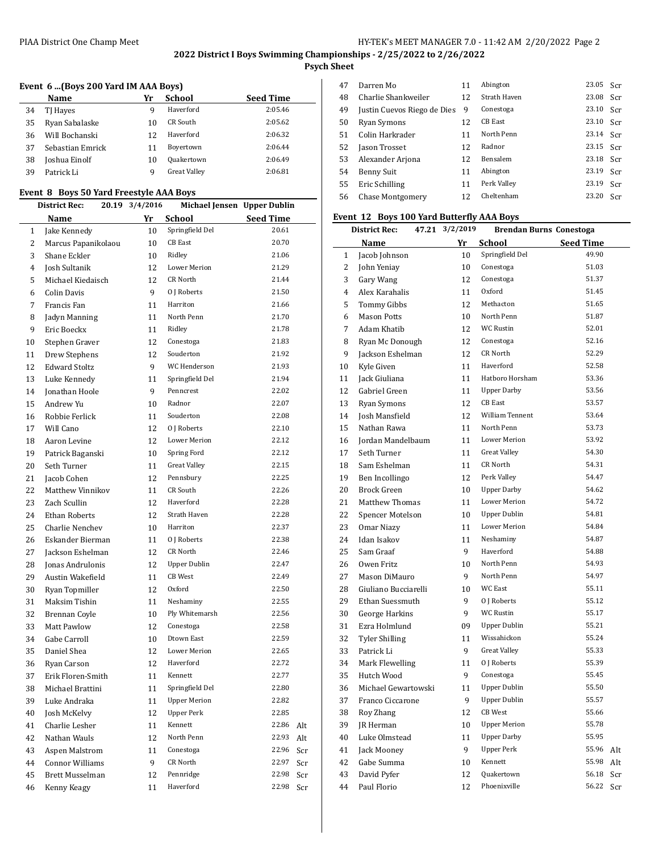$\overline{a}$ 

## **Psych Sheet**

## **Event 6 ...(Boys 200 Yard IM AAA Boys)**

|    | Name             | Yr | <b>School</b>       | <b>Seed Time</b> |
|----|------------------|----|---------------------|------------------|
| 34 | TJ Hayes         | 9  | Haverford           | 2:05.46          |
| 35 | Ryan Sabalaske   | 10 | CR South            | 2:05.62          |
| 36 | Will Bochanski   | 12 | Haverford           | 2:06.32          |
| 37 | Sebastian Emrick | 11 | Boyertown           | 2:06.44          |
| 38 | Joshua Einolf    | 10 | Quakertown          | 2:06.49          |
| 39 | Patrick Li       | q  | <b>Great Valley</b> | 2:06.81          |

#### **Event 8 Boys 50 Yard Freestyle AAA Boys**

|              | <b>District Rec:</b>   | 20.19 | 3/4/2016 | Michael Jensen Upper Dublin |                  |     |
|--------------|------------------------|-------|----------|-----------------------------|------------------|-----|
|              | Name                   |       | Yr       | School                      | <b>Seed Time</b> |     |
| $\mathbf{1}$ | Jake Kennedy           |       | 10       | Springfield Del             | 20.61            |     |
| 2            | Marcus Papanikolaou    |       | 10       | <b>CB</b> East              | 20.70            |     |
| 3            | Shane Eckler           |       | 10       | Ridley                      | 21.06            |     |
| 4            | Josh Sultanik          |       | 12       | <b>Lower Merion</b>         | 21.29            |     |
| 5            | Michael Kiedaisch      |       | 12       | CR North                    | 21.44            |     |
| 6            | Colin Davis            |       | 9        | 0 J Roberts                 | 21.50            |     |
| 7            | Francis Fan            |       | 11       | Harriton                    | 21.66            |     |
| 8            | Jadyn Manning          |       | 11       | North Penn                  | 21.70            |     |
| 9            | Eric Boeckx            |       | 11       | Ridley                      | 21.78            |     |
| 10           | Stephen Graver         |       | 12       | Conestoga                   | 21.83            |     |
| 11           | Drew Stephens          |       | 12       | Souderton                   | 21.92            |     |
| 12           | <b>Edward Stoltz</b>   |       | 9        | WC Henderson                | 21.93            |     |
| 13           | Luke Kennedy           |       | 11       | Springfield Del             | 21.94            |     |
| 14           | Jonathan Hoole         |       | 9        | Penncrest                   | 22.02            |     |
| 15           | Andrew Yu              |       | 10       | Radnor                      | 22.07            |     |
| 16           | Robbie Ferlick         |       | 11       | Souderton                   | 22.08            |     |
| 17           | Will Cano              |       | 12       | 0 J Roberts                 | 22.10            |     |
| 18           | Aaron Levine           |       | 12       | Lower Merion                | 22.12            |     |
| 19           |                        |       | 10       | Spring Ford                 | 22.12            |     |
|              | Patrick Baganski       |       |          | <b>Great Valley</b>         | 22.15            |     |
| 20           | Seth Turner            |       | 11       | Pennsbury                   | 22.25            |     |
| 21           | Jacob Cohen            |       | 12       | CR South                    | 22.26            |     |
| 22           | Matthew Vinnikov       |       | 11       | Haverford                   | 22.28            |     |
| 23           | Zach Scullin           |       | 12       |                             | 22.28            |     |
| 24           | <b>Ethan Roberts</b>   |       | 12       | Strath Haven                |                  |     |
| 25           | Charlie Nenchev        |       | 10       | Harriton                    | 22.37            |     |
| 26           | Eskander Bierman       |       | 11       | 0 J Roberts                 | 22.38            |     |
| 27           | Jackson Eshelman       |       | 12       | CR North                    | 22.46            |     |
| 28           | Jonas Andrulonis       |       | 12       | <b>Upper Dublin</b>         | 22.47            |     |
| 29           | Austin Wakefield       |       | 11       | CB West                     | 22.49            |     |
| 30           | Ryan Topmiller         |       | 12       | Oxford                      | 22.50            |     |
| 31           | Maksim Tishin          |       | 11       | Neshaminy                   | 22.55            |     |
| 32           | Brennan Coyle          |       | 10       | Ply Whitemarsh              | 22.56            |     |
| 33           | <b>Matt Pawlow</b>     |       | 12       | Conestoga                   | 22.58            |     |
| 34           | Gabe Carroll           |       | 10       | Dtown East                  | 22.59            |     |
| 35           | Daniel Shea            |       | 12       | Lower Merion                | 22.65            |     |
| 36           | Ryan Carson            |       | 12       | Haverford                   | 22.72            |     |
| 37           | Erik Floren-Smith      |       | 11       | Kennett                     | 22.77            |     |
| 38           | Michael Brattini       |       | 11       | Springfield Del             | 22.80            |     |
| 39           | Luke Andraka           |       | 11       | <b>Upper Merion</b>         | 22.82            |     |
| 40           | Josh McKelvy           |       | 12       | <b>Upper Perk</b>           | 22.85            |     |
| 41           | Charlie Lesher         |       | 11       | Kennett                     | 22.86            | Alt |
| 42           | Nathan Wauls           |       | 12       | North Penn                  | 22.93            | Alt |
| 43           | Aspen Malstrom         |       | 11       | Conestoga                   | 22.96            | Scr |
| 44           | <b>Connor Williams</b> |       | 9        | CR North                    | 22.97            | Scr |
| 45           | Brett Musselman        |       | 12       | Pennridge                   | 22.98            | Scr |
| 46           | Kenny Keagy            |       | 11       | Haverford                   | 22.98            | Scr |

| 47 | Darren Mo                   | 11 | Abington       | 23.05 | Scr |
|----|-----------------------------|----|----------------|-------|-----|
| 48 | Charlie Shankweiler         | 12 | Strath Haven   | 23.08 | Scr |
| 49 | Justin Cuevos Riego de Dies | 9  | Conestoga      | 23.10 | Scr |
| 50 | Ryan Symons                 | 12 | <b>CB</b> East | 23.10 | Scr |
| 51 | Colin Harkrader             | 11 | North Penn     | 23.14 | Scr |
| 52 | Jason Trosset               | 12 | Radnor         | 23.15 | Scr |
| 53 | Alexander Arjona            | 12 | Bensalem       | 23.18 | Scr |
| 54 | Benny Suit                  | 11 | Abington       | 23.19 | Scr |
| 55 | Eric Schilling              | 11 | Perk Valley    | 23.19 | Scr |
| 56 | Chase Montgomery            | 12 | Cheltenham     | 23.20 | Scr |

## **Event 12 Boys 100 Yard Butterfly AAA Boys**

|                | <b>District Rec:</b>                | 47.21 3/2/2019 | <b>Brendan Burns Conestoga</b> |                  |     |
|----------------|-------------------------------------|----------------|--------------------------------|------------------|-----|
|                | Name                                | Yr             | <b>School</b>                  | <b>Seed Time</b> |     |
| 1              | Jacob Johnson                       | 10             | Springfield Del                | 49.90            |     |
| $\overline{2}$ | John Yeniay                         | 10             | Conestoga                      | 51.03            |     |
| 3              | Gary Wang                           | 12             | Conestoga                      | 51.37            |     |
| 4              | Alex Karahalis                      | 11             | Oxford                         | 51.45            |     |
| 5              | Tommy Gibbs                         | 12             | Methacton                      | 51.65            |     |
| 6              | <b>Mason Potts</b>                  | 10             | North Penn                     | 51.87            |     |
| 7              | Adam Khatib                         | 12             | WC Rustin                      | 52.01            |     |
| 8              | Ryan Mc Donough                     | 12             | Conestoga                      | 52.16            |     |
| 9              | Jackson Eshelman                    | 12             | CR North                       | 52.29            |     |
| 10             | Kyle Given                          | 11             | Haverford                      | 52.58            |     |
| 11             | Jack Giuliana                       | 11             | Hatboro Horsham                | 53.36            |     |
| 12             | Gabriel Green                       | 11             | <b>Upper Darby</b>             | 53.56            |     |
| 13             | Ryan Symons                         | 12             | CB East                        | 53.57            |     |
| 14             | Josh Mansfield                      | 12             | William Tennent                | 53.64            |     |
| 15             | Nathan Rawa                         | 11             | North Penn                     | 53.73            |     |
| 16             | Jordan Mandelbaum                   | 11             | <b>Lower Merion</b>            | 53.92            |     |
| 17             | Seth Turner                         | 11             | <b>Great Valley</b>            | 54.30            |     |
| 18             | Sam Eshelman                        | 11             | CR North                       | 54.31            |     |
| 19             | Ben Incollingo                      | 12             | Perk Valley                    | 54.47            |     |
| 20             | Brock Green                         | 10             | <b>Upper Darby</b>             | 54.62            |     |
| 21             | <b>Matthew Thomas</b>               | 11             | <b>Lower Merion</b>            | 54.72            |     |
| 22             | Spencer Motelson                    | 10             | Upper Dublin                   | 54.81            |     |
| 23             | Omar Niazy                          | 11             | Lower Merion                   | 54.84            |     |
| 24             | Idan Isakov                         | 11             | Neshaminy                      | 54.87            |     |
| 25             | Sam Graaf                           | 9              | Haverford                      | 54.88            |     |
| 26             | Owen Fritz                          | 10             | North Penn                     | 54.93            |     |
| 27             | Mason DiMauro                       | 9              | North Penn                     | 54.97            |     |
| 28             | Giuliano Bucciarelli                | 10             | WC East                        | 55.11            |     |
| 29             | Ethan Suessmuth                     | 9              | 0 J Roberts                    | 55.12            |     |
| 30             | George Harkins                      | 9              | WC Rustin                      | 55.17            |     |
| 31             | Ezra Holmlund                       | 09             | <b>Upper Dublin</b>            | 55.21            |     |
|                |                                     | 11             | Wissahickon                    | 55.24            |     |
| 32             | <b>Tyler Shilling</b><br>Patrick Li | 9              | <b>Great Valley</b>            | 55.33            |     |
| 33             |                                     |                | 0 J Roberts                    | 55.39            |     |
| 34             | Mark Flewelling                     | 11             |                                |                  |     |
| 35             | Hutch Wood                          | 9              | Conestoga                      | 55.45            |     |
| 36             | Michael Gewartowski                 | 11             | <b>Upper Dublin</b>            | 55.50            |     |
| 37             | Franco Ciccarone                    | 9              | <b>Upper Dublin</b>            | 55.57            |     |
| 38             | Roy Zhang                           | 12             | CB West                        | 55.66            |     |
| 39             | <b>IR</b> Herman                    | 10             | <b>Upper Merion</b>            | 55.78            |     |
| 40             | Luke Olmstead                       | 11             | <b>Upper Darby</b>             | 55.95            |     |
| 41             | Jack Mooney                         | 9              | <b>Upper Perk</b>              | 55.96            | Alt |
| 42             | Gabe Summa                          | 10             | Kennett                        | 55.98            | Alt |
| 43             | David Pyfer                         | 12             | Quakertown                     | 56.18            | Scr |
| 44             | Paul Florio                         | 12             | Phoenixville                   | 56.22            | Scr |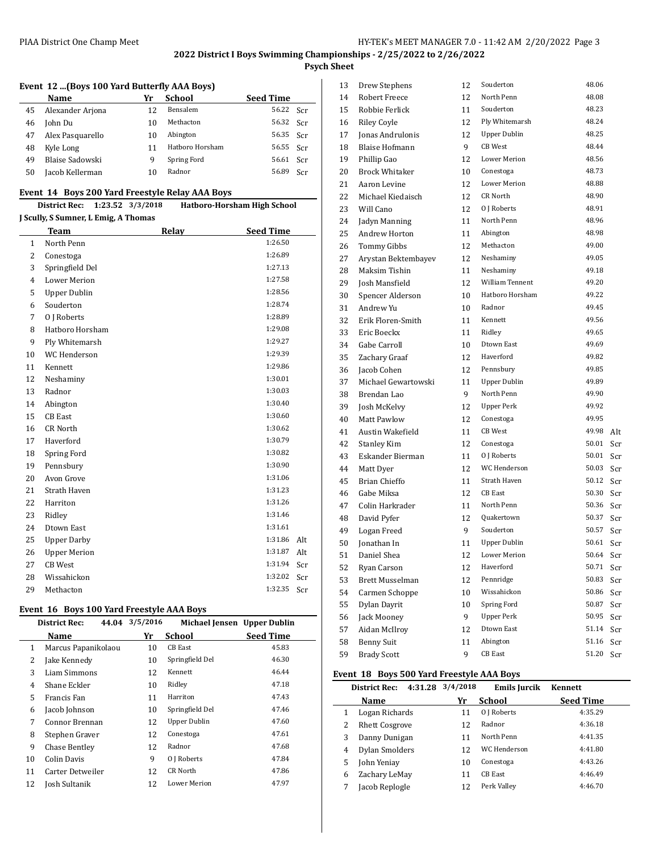**Psych Sheet**

## **Event 12 ...(Boys 100 Yard Butterfly AAA Boys)**

|    | Name             | Yr | School          | <b>Seed Time</b> |       |
|----|------------------|----|-----------------|------------------|-------|
| 45 | Alexander Arjona | 12 | <b>Bensalem</b> | 56.22            | - Scr |
| 46 | John Du          | 10 | Methacton       | 56.32 Scr        |       |
| 47 | Alex Pasquarello | 10 | Abington        | 56.35 Scr        |       |
| 48 | Kyle Long        | 11 | Hatboro Horsham | 56.55 Scr        |       |
| 49 | Blaise Sadowski  | q  | Spring Ford     | 56.61            | Scr   |
| 50 | Jacob Kellerman  | 10 | Radnor          | 56.89            | Scr   |

#### **Event 14 Boys 200 Yard Freestyle Relay AAA Boys**

| District Rec: 1:23.52 3/3/2018 |  |  | Hatboro-Horsham High School |
|--------------------------------|--|--|-----------------------------|
|--------------------------------|--|--|-----------------------------|

#### **J Scully, S Sumner, L Emig, A Thomas**

l.

| Team                | Relav | <b>Seed Time</b> |     |
|---------------------|-------|------------------|-----|
| North Penn          |       | 1:26.50          |     |
| Conestoga           |       | 1:26.89          |     |
| Springfield Del     |       | 1:27.13          |     |
| <b>Lower Merion</b> |       | 1:27.58          |     |
| <b>Upper Dublin</b> |       | 1:28.56          |     |
| Souderton           |       | 1:28.74          |     |
| 0 J Roberts         |       | 1:28.89          |     |
| Hatboro Horsham     |       | 1:29.08          |     |
| Ply Whitemarsh      |       | 1:29.27          |     |
| <b>WC</b> Henderson |       | 1:29.39          |     |
| Kennett             |       | 1:29.86          |     |
| Neshaminy           |       | 1:30.01          |     |
| Radnor              |       | 1:30.03          |     |
| Abington            |       | 1:30.40          |     |
| <b>CB</b> East      |       | 1:30.60          |     |
| <b>CR North</b>     |       | 1:30.62          |     |
| Haverford           |       | 1:30.79          |     |
| Spring Ford         |       | 1:30.82          |     |
| Pennsbury           |       | 1:30.90          |     |
| Avon Grove          |       | 1:31.06          |     |
| <b>Strath Haven</b> |       | 1:31.23          |     |
| Harriton            |       | 1:31.26          |     |
| Ridley              |       | 1:31.46          |     |
| Dtown East          |       | 1:31.61          |     |
| <b>Upper Darby</b>  |       | 1:31.86          | Alt |
| <b>Upper Merion</b> |       | 1:31.87          | Alt |
| <b>CB</b> West      |       | 1:31.94          | Scr |
| Wissahickon         |       | 1:32.02          | Scr |
| Methacton           |       | 1:32.35          | Scr |
|                     |       |                  |     |

#### **Event 16 Boys 100 Yard Freestyle AAA Boys**

|    | <b>District Rec:</b> | 44.04 | 3/5/2016 | Michael Jensen Upper Dublin |                  |
|----|----------------------|-------|----------|-----------------------------|------------------|
|    | Name                 |       | Yr       | School                      | <b>Seed Time</b> |
| 1  | Marcus Papanikolaou  |       | 10       | <b>CB</b> East              | 45.83            |
| 2  | Jake Kennedy         |       | 10       | Springfield Del             | 46.30            |
| 3  | Liam Simmons         |       | 12       | Kennett                     | 46.44            |
| 4  | Shane Eckler         |       | 10       | Ridley                      | 47.18            |
| 5  | Francis Fan          |       | 11       | Harriton                    | 47.43            |
| 6  | Jacob Johnson        |       | 10       | Springfield Del             | 47.46            |
| 7  | Connor Brennan       |       | 12       | <b>Upper Dublin</b>         | 47.60            |
| 8  | Stephen Graver       |       | 12       | Conestoga                   | 47.61            |
| 9  | Chase Bentley        |       | 12       | Radnor                      | 47.68            |
| 10 | Colin Davis          |       | 9        | 0 J Roberts                 | 47.84            |
| 11 | Carter Detweiler     |       | 12       | CR North                    | 47.86            |
| 12 | Josh Sultanik        |       | 12       | <b>Lower Merion</b>         | 47.97            |

| 13 | Drew Stephens         | 12 | Souderton           | 48.06 |     |
|----|-----------------------|----|---------------------|-------|-----|
| 14 | <b>Robert Freece</b>  | 12 | North Penn          | 48.08 |     |
| 15 | Robbie Ferlick        | 11 | Souderton           | 48.23 |     |
| 16 | <b>Riley Coyle</b>    | 12 | Ply Whitemarsh      | 48.24 |     |
| 17 | Jonas Andrulonis      | 12 | <b>Upper Dublin</b> | 48.25 |     |
| 18 | <b>Blaise Hofmann</b> | 9  | CB West             | 48.44 |     |
| 19 | Phillip Gao           | 12 | <b>Lower Merion</b> | 48.56 |     |
| 20 | <b>Brock Whitaker</b> | 10 | Conestoga           | 48.73 |     |
| 21 | Aaron Levine          | 12 | <b>Lower Merion</b> | 48.88 |     |
| 22 | Michael Kiedaisch     | 12 | CR North            | 48.90 |     |
| 23 | Will Cano             | 12 | 0 J Roberts         | 48.91 |     |
| 24 | Jadyn Manning         | 11 | North Penn          | 48.96 |     |
| 25 | Andrew Horton         | 11 | Abington            | 48.98 |     |
| 26 | <b>Tommy Gibbs</b>    | 12 | Methacton           | 49.00 |     |
| 27 | Arystan Bektembayev   | 12 | Neshaminy           | 49.05 |     |
| 28 | Maksim Tishin         | 11 | Neshaminy           | 49.18 |     |
| 29 | Josh Mansfield        | 12 | William Tennent     | 49.20 |     |
| 30 | Spencer Alderson      | 10 | Hatboro Horsham     | 49.22 |     |
| 31 | Andrew Yu             | 10 | Radnor              | 49.45 |     |
| 32 | Erik Floren-Smith     | 11 | Kennett             | 49.56 |     |
| 33 | Eric Boeckx           | 11 | Ridley              | 49.65 |     |
| 34 | Gabe Carroll          | 10 | Dtown East          | 49.69 |     |
| 35 | Zachary Graaf         | 12 | Haverford           | 49.82 |     |
| 36 | Jacob Cohen           | 12 | Pennsbury           | 49.85 |     |
| 37 | Michael Gewartowski   | 11 | <b>Upper Dublin</b> | 49.89 |     |
| 38 | Brendan Lao           | 9  | North Penn          | 49.90 |     |
| 39 | Josh McKelvy          | 12 | <b>Upper Perk</b>   | 49.92 |     |
| 40 | Matt Pawlow           | 12 | Conestoga           | 49.95 |     |
| 41 | Austin Wakefield      | 11 | <b>CB</b> West      | 49.98 | Alt |
| 42 | <b>Stanley Kim</b>    | 12 | Conestoga           | 50.01 | Scr |
| 43 | Eskander Bierman      | 11 | 0 J Roberts         | 50.01 | Scr |
| 44 | Matt Dyer             | 12 | WC Henderson        | 50.03 | Scr |
| 45 | Brian Chieffo         | 11 | Strath Haven        | 50.12 | Scr |
| 46 | Gabe Miksa            | 12 | CB East             | 50.30 | Scr |
| 47 | Colin Harkrader       | 11 | North Penn          | 50.36 | Scr |
| 48 | David Pyfer           | 12 | Quakertown          | 50.37 | Scr |
| 49 | Logan Freed           | 9  | Souderton           | 50.57 | Scr |
| 50 | Jonathan In           | 11 | <b>Upper Dublin</b> | 50.61 | Scr |
| 51 | Daniel Shea           | 12 | Lower Merion        | 50.64 | Scr |
| 52 | Ryan Carson           | 12 | Haverford           | 50.71 | Scr |
| 53 | Brett Musselman       | 12 | Pennridge           | 50.83 | Scr |
| 54 | Carmen Schoppe        | 10 | Wissahickon         | 50.86 | Scr |
| 55 | Dylan Dayrit          | 10 | Spring Ford         | 50.87 | Scr |
| 56 | Jack Mooney           | 9  | <b>Upper Perk</b>   | 50.95 | Scr |
| 57 | Aidan McIlroy         | 12 | Dtown East          | 51.14 | Scr |
| 58 | <b>Benny Suit</b>     | 11 | Abington            | 51.16 | Scr |
| 59 | <b>Brady Scott</b>    | 9  | CB East             | 51.20 | Scr |

## **Event 18 Boys 500 Yard Freestyle AAA Boys**

|   | <b>District Rec:</b>  | 4:31.28 3/4/2018 | Emils Jurcik | Kennett          |
|---|-----------------------|------------------|--------------|------------------|
|   | Name                  | Yr               | School       | <b>Seed Time</b> |
| 1 | Logan Richards        | 11               | 0   Roberts  | 4:35.29          |
| 2 | <b>Rhett Cosgrove</b> | 12               | Radnor       | 4:36.18          |
| 3 | Danny Dunigan         | 11               | North Penn   | 4:41.35          |
| 4 | <b>Dylan Smolders</b> | 12               | WC Henderson | 4:41.80          |
| 5 | John Yeniay           | 10               | Conestoga    | 4:43.26          |
| 6 | Zachary LeMay         | 11               | CB East      | 4:46.49          |
|   | Jacob Replogle        | 12               | Perk Valley  | 4:46.70          |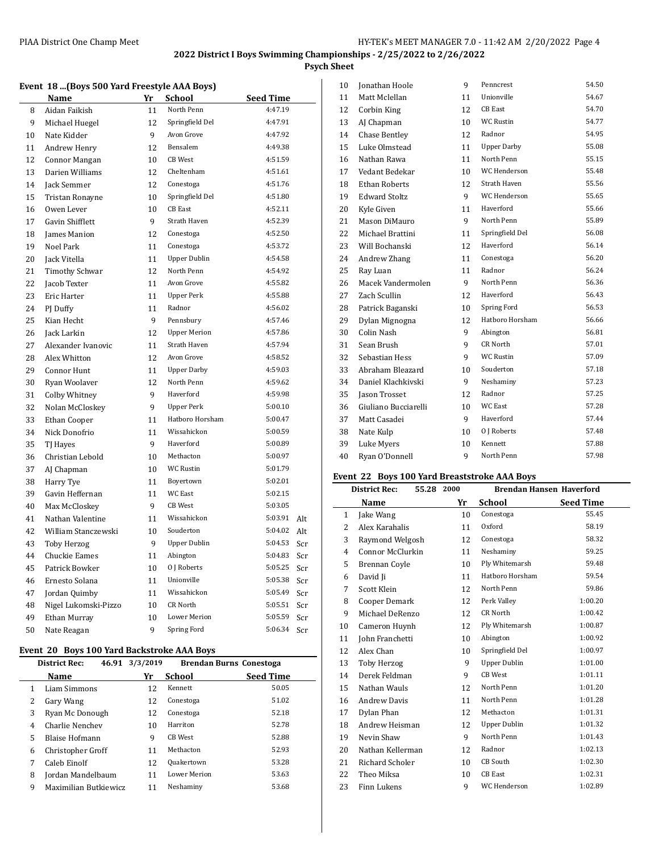**Psych Sheet**

|  |  |  |  | Event 18  (Boys 500 Yard Freestyle AAA Boys) |
|--|--|--|--|----------------------------------------------|
|--|--|--|--|----------------------------------------------|

|    | Name                  | Yr | <b>School</b>       | <b>Seed Time</b> |     |
|----|-----------------------|----|---------------------|------------------|-----|
| 8  | Aidan Faikish         | 11 | North Penn          | 4:47.19          |     |
| 9  | Michael Huegel        | 12 | Springfield Del     | 4:47.91          |     |
| 10 | Nate Kidder           | 9  | Avon Grove          | 4:47.92          |     |
| 11 | Andrew Henry          | 12 | Bensalem            | 4:49.38          |     |
| 12 | Connor Mangan         | 10 | <b>CB</b> West      | 4:51.59          |     |
| 13 | Darien Williams       | 12 | Cheltenham          | 4:51.61          |     |
| 14 | Jack Semmer           | 12 | Conestoga           | 4:51.76          |     |
| 15 | Tristan Ronayne       | 10 | Springfield Del     | 4:51.80          |     |
| 16 | Owen Lever            | 10 | <b>CB</b> East      | 4:52.11          |     |
| 17 | Gavin Shifflett       | 9  | Strath Haven        | 4:52.39          |     |
| 18 | James Manion          | 12 | Conestoga           | 4:52.50          |     |
| 19 | Noel Park             | 11 | Conestoga           | 4:53.72          |     |
| 20 | Jack Vitella          | 11 | <b>Upper Dublin</b> | 4:54.58          |     |
| 21 | <b>Timothy Schwar</b> | 12 | North Penn          | 4:54.92          |     |
| 22 | Jacob Texter          | 11 | Avon Grove          | 4:55.82          |     |
| 23 | Eric Harter           | 11 | <b>Upper Perk</b>   | 4:55.88          |     |
| 24 | PJ Duffy              | 11 | Radnor              | 4:56.02          |     |
| 25 | Kian Hecht            | 9  | Pennsbury           | 4:57.46          |     |
| 26 | Jack Larkin           | 12 | <b>Upper Merion</b> | 4:57.86          |     |
| 27 | Alexander Ivanovic    | 11 | Strath Haven        | 4:57.94          |     |
| 28 | Alex Whitton          | 12 | Avon Grove          | 4:58.52          |     |
| 29 | Connor Hunt           | 11 | <b>Upper Darby</b>  | 4:59.03          |     |
| 30 | Ryan Woolaver         | 12 | North Penn          | 4:59.62          |     |
| 31 | Colby Whitney         | 9  | Haverford           | 4:59.98          |     |
| 32 | Nolan McCloskey       | 9  | <b>Upper Perk</b>   | 5:00.10          |     |
| 33 | Ethan Cooper          | 11 | Hatboro Horsham     | 5:00.47          |     |
| 34 | Nick Donofrio         | 11 | Wissahickon         | 5:00.59          |     |
| 35 | TJ Hayes              | 9  | Haverford           | 5:00.89          |     |
| 36 | Christian Lebold      | 10 | Methacton           | 5:00.97          |     |
| 37 | AJ Chapman            | 10 | WC Rustin           | 5:01.79          |     |
| 38 | Harry Tye             | 11 | Boyertown           | 5:02.01          |     |
| 39 | Gavin Heffernan       | 11 | WC East             | 5:02.15          |     |
| 40 | Max McCloskey         | 9  | CB West             | 5:03.05          |     |
| 41 | Nathan Valentine      | 11 | Wissahickon         | 5:03.91          | Alt |
| 42 | William Stanczewski   | 10 | Souderton           | 5:04.02          | Alt |
| 43 | <b>Toby Herzog</b>    | 9  | <b>Upper Dublin</b> | 5:04.53          | Scr |
| 44 | Chuckie Eames         | 11 | Abington            | 5:04.83          | Scr |
| 45 | Patrick Bowker        | 10 | 0 J Roberts         | 5:05.25          | Scr |
| 46 | Ernesto Solana        | 11 | Unionville          | 5:05.38          | Scr |
| 47 | Jordan Quimby         | 11 | Wissahickon         | 5:05.49          | Scr |
| 48 | Nigel Lukomski-Pizzo  | 10 | CR North            | 5:05.51          | Scr |
| 49 | Ethan Murray          | 10 | <b>Lower Merion</b> | 5:05.59          | Scr |
| 50 | Nate Reagan           | 9  | Spring Ford         | 5:06.34          | Scr |
|    |                       |    |                     |                  |     |

## **Event 20 Boys 100 Yard Backstroke AAA Boys**

|   | 46.91<br><b>District Rec:</b> | 3/3/2019 | Brendan Burns Conestoga |                  |
|---|-------------------------------|----------|-------------------------|------------------|
|   | Name                          | Yr       | School                  | <b>Seed Time</b> |
| 1 | Liam Simmons                  | 12       | Kennett                 | 50.05            |
| 2 | Gary Wang                     | 12       | Conestoga               | 51.02            |
| 3 | Ryan Mc Donough               | 12       | Conestoga               | 52.18            |
| 4 | Charlie Nenchev               | 10       | Harriton                | 52.78            |
| 5 | Blaise Hofmann                | 9        | CB West                 | 52.88            |
| 6 | Christopher Groff             | 11       | Methacton               | 52.93            |
| 7 | Caleb Einolf                  | 12       | Quakertown              | 53.28            |
| 8 | Jordan Mandelbaum             | 11       | <b>Lower Merion</b>     | 53.63            |
| 9 | Maximilian Butkiewicz         | 11       | Neshaminy               | 53.68            |

| 10 | Jonathan Hoole       | 9  | Penncrest           | 54.50 |
|----|----------------------|----|---------------------|-------|
| 11 | Matt Mclellan        | 11 | Unionville          | 54.67 |
| 12 | Corbin King          | 12 | CB East             | 54.70 |
| 13 | AJ Chapman           | 10 | WC Rustin           | 54.77 |
| 14 | Chase Bentley        | 12 | Radnor              | 54.95 |
| 15 | Luke Olmstead        | 11 | <b>Upper Darby</b>  | 55.08 |
| 16 | Nathan Rawa          | 11 | North Penn          | 55.15 |
| 17 | Vedant Bedekar       | 10 | WC Henderson        | 55.48 |
| 18 | <b>Ethan Roberts</b> | 12 | Strath Haven        | 55.56 |
| 19 | <b>Edward Stoltz</b> | 9  | <b>WC</b> Henderson | 55.65 |
| 20 | Kyle Given           | 11 | Haverford           | 55.66 |
| 21 | Mason DiMauro        | 9  | North Penn          | 55.89 |
| 22 | Michael Brattini     | 11 | Springfield Del     | 56.08 |
| 23 | Will Bochanski       | 12 | Haverford           | 56.14 |
| 24 | Andrew Zhang         | 11 | Conestoga           | 56.20 |
| 25 | Ray Luan             | 11 | Radnor              | 56.24 |
| 26 | Macek Vandermolen    | 9  | North Penn          | 56.36 |
| 27 | Zach Scullin         | 12 | Haverford           | 56.43 |
| 28 | Patrick Baganski     | 10 | Spring Ford         | 56.53 |
| 29 | Dylan Mignogna       | 12 | Hathoro Horsham     | 56.66 |
| 30 | Colin Nash           | 9  | Abington            | 56.81 |
| 31 | Sean Brush           | 9  | CR North            | 57.01 |
| 32 | Sebastian Hess       | 9  | <b>WC Rustin</b>    | 57.09 |
| 33 | Abraham Bleazard     | 10 | Souderton           | 57.18 |
| 34 | Daniel Klachkivski   | 9  | Neshaminy           | 57.23 |
| 35 | Jason Trosset        | 12 | Radnor              | 57.25 |
| 36 | Giuliano Bucciarelli | 10 | <b>WC East</b>      | 57.28 |
| 37 | Matt Casadei         | 9  | Haverford           | 57.44 |
| 38 | Nate Kulp            | 10 | 0 J Roberts         | 57.48 |
| 39 | Luke Myers           | 10 | Kennett             | 57.88 |
| 40 | Ryan O'Donnell       | 9  | North Penn          | 57.98 |
|    |                      |    |                     |       |

## **Event 22 Boys 100 Yard Breaststroke AAA Boys**

| 55.28 2000<br><b>District Rec:</b> |                        |    | <b>Brendan Hansen Haverford</b> |                  |
|------------------------------------|------------------------|----|---------------------------------|------------------|
|                                    | Name                   | Yr | School                          | <b>Seed Time</b> |
| $\mathbf{1}$                       | Jake Wang              | 10 | Conestoga                       | 55.45            |
| 2                                  | Alex Karahalis         | 11 | Oxford                          | 58.19            |
| 3                                  | Raymond Welgosh        | 12 | Conestoga                       | 58.32            |
| 4                                  | Connor McClurkin       | 11 | Neshaminy                       | 59.25            |
| 5                                  | Brennan Coyle          | 10 | Ply Whitemarsh                  | 59.48            |
| 6                                  | David Ji               | 11 | Hatboro Horsham                 | 59.54            |
| 7                                  | Scott Klein            | 12 | North Penn                      | 59.86            |
| 8                                  | Cooper Demark          | 12 | Perk Valley                     | 1:00.20          |
| 9                                  | Michael DeRenzo        | 12 | CR North                        | 1:00.42          |
| 10                                 | Cameron Huynh          | 12 | Ply Whitemarsh                  | 1:00.87          |
| 11                                 | John Franchetti        | 10 | Abington                        | 1:00.92          |
| 12                                 | Alex Chan              | 10 | Springfield Del                 | 1:00.97          |
| 13                                 | Toby Herzog            | 9  | <b>Upper Dublin</b>             | 1:01.00          |
| 14                                 | Derek Feldman          | 9  | <b>CB</b> West                  | 1:01.11          |
| 15                                 | Nathan Wauls           | 12 | North Penn                      | 1:01.20          |
| 16                                 | <b>Andrew Davis</b>    | 11 | North Penn                      | 1:01.28          |
| 17                                 | Dylan Phan             | 12 | Methacton                       | 1:01.31          |
| 18                                 | Andrew Heisman         | 12 | <b>Upper Dublin</b>             | 1:01.32          |
| 19                                 | Nevin Shaw             | 9  | North Penn                      | 1:01.43          |
| 20                                 | Nathan Kellerman       | 12 | Radnor                          | 1:02.13          |
| 21                                 | <b>Richard Scholer</b> | 10 | CB South                        | 1:02.30          |
| 22                                 | Theo Miksa             | 10 | <b>CB</b> East                  | 1:02.31          |
| 23                                 | Finn Lukens            | 9  | WC Henderson                    | 1:02.89          |